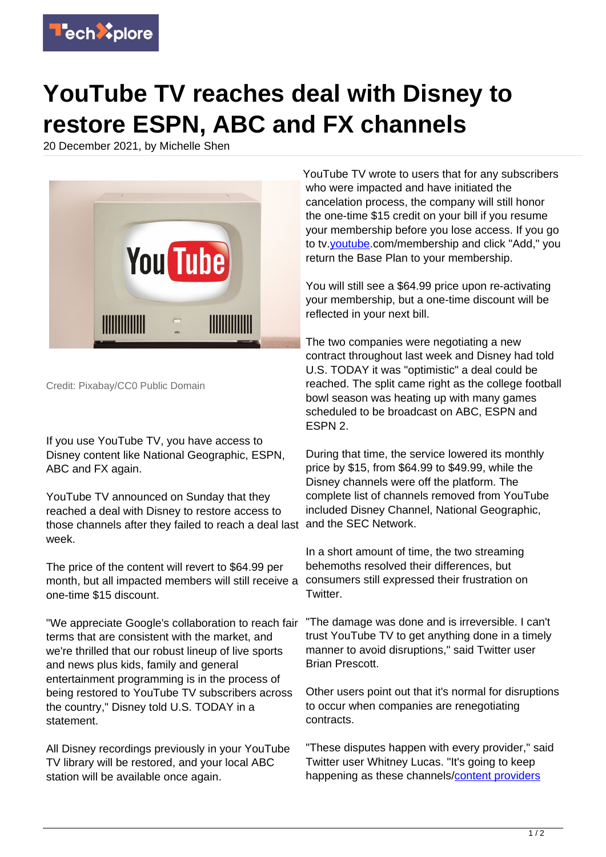

## **YouTube TV reaches deal with Disney to restore ESPN, ABC and FX channels**

20 December 2021, by Michelle Shen



Credit: Pixabay/CC0 Public Domain

If you use YouTube TV, you have access to Disney content like National Geographic, ESPN, ABC and FX again.

YouTube TV announced on Sunday that they reached a deal with Disney to restore access to those channels after they failed to reach a deal last and the SEC Network. week.

The price of the content will revert to \$64.99 per month, but all impacted members will still receive a one-time \$15 discount.

"We appreciate Google's collaboration to reach fair terms that are consistent with the market, and we're thrilled that our robust lineup of live sports and news plus kids, family and general entertainment programming is in the process of being restored to YouTube TV subscribers across the country," Disney told U.S. TODAY in a statement.

All Disney recordings previously in your YouTube TV library will be restored, and your local ABC station will be available once again.

YouTube TV wrote to users that for any subscribers who were impacted and have initiated the cancelation process, the company will still honor the one-time \$15 credit on your bill if you resume your membership before you lose access. If you go to tv[.youtube](https://techxplore.com/tags/youtube/).com/membership and click "Add," you return the Base Plan to your membership.

You will still see a \$64.99 price upon re-activating your membership, but a one-time discount will be reflected in your next bill.

The two companies were negotiating a new contract throughout last week and Disney had told U.S. TODAY it was "optimistic" a deal could be reached. The split came right as the college football bowl season was heating up with many games scheduled to be broadcast on ABC, ESPN and ESPN 2.

During that time, the service lowered its monthly price by \$15, from \$64.99 to \$49.99, while the Disney channels were off the platform. The complete list of channels removed from YouTube included Disney Channel, National Geographic,

In a short amount of time, the two streaming behemoths resolved their differences, but consumers still expressed their frustration on Twitter.

"The damage was done and is irreversible. I can't trust YouTube TV to get anything done in a timely manner to avoid disruptions," said Twitter user Brian Prescott.

Other users point out that it's normal for disruptions to occur when companies are renegotiating contracts.

"These disputes happen with every provider," said Twitter user Whitney Lucas. "It's going to keep happening as these channels/[content providers](https://techxplore.com/tags/content+providers/)